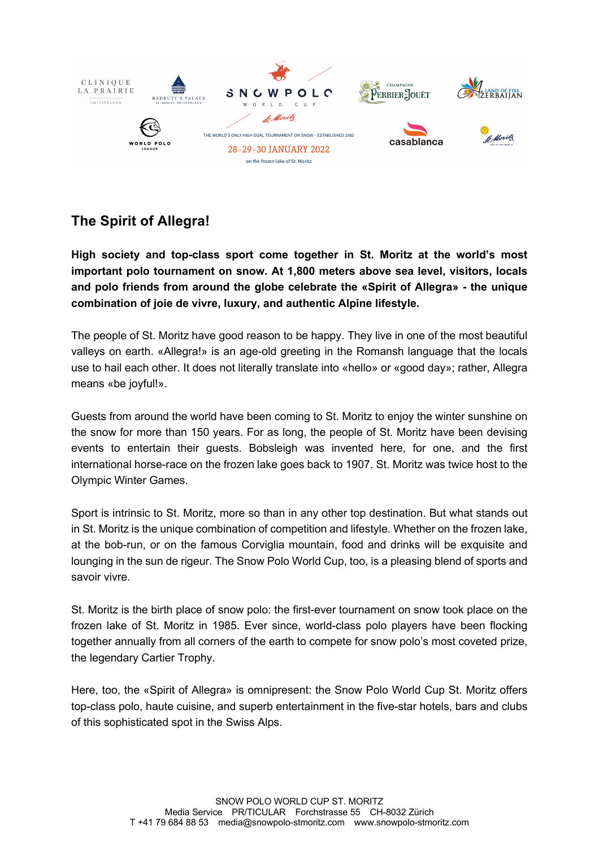

## **The Spirit of Allegra!**

**High society and top-class sport come together in St. Moritz at the world's most important polo tournament on snow. At 1,800 meters above sea level, visitors, locals and polo friends from around the globe celebrate the «Spirit of Allegra» - the unique combination of joie de vivre, luxury, and authentic Alpine lifestyle.**

The people of St. Moritz have good reason to be happy. They live in one of the most beautiful valleys on earth. «Allegra!» is an age-old greeting in the Romansh language that the locals use to hail each other. It does not literally translate into «hello» or «good day»; rather, Allegra means «be joyful!».

Guests from around the world have been coming to St. Moritz to enjoy the winter sunshine on the snow for more than 150 years. For as long, the people of St. Moritz have been devising events to entertain their guests. Bobsleigh was invented here, for one, and the first international horse-race on the frozen lake goes back to 1907. St. Moritz was twice host to the Olympic Winter Games.

Sport is intrinsic to St. Moritz, more so than in any other top destination. But what stands out in St. Moritz is the unique combination of competition and lifestyle. Whether on the frozen lake, at the bob-run, or on the famous Corviglia mountain, food and drinks will be exquisite and lounging in the sun de rigeur. The Snow Polo World Cup, too, is a pleasing blend of sports and savoir vivre.

St. Moritz is the birth place of snow polo: the first-ever tournament on snow took place on the frozen lake of St. Moritz in 1985. Ever since, world-class polo players have been flocking together annually from all corners of the earth to compete for snow polo's most coveted prize, the legendary Cartier Trophy.

Here, too, the «Spirit of Allegra» is omnipresent: the Snow Polo World Cup St. Moritz offers top-class polo, haute cuisine, and superb entertainment in the five-star hotels, bars and clubs of this sophisticated spot in the Swiss Alps.